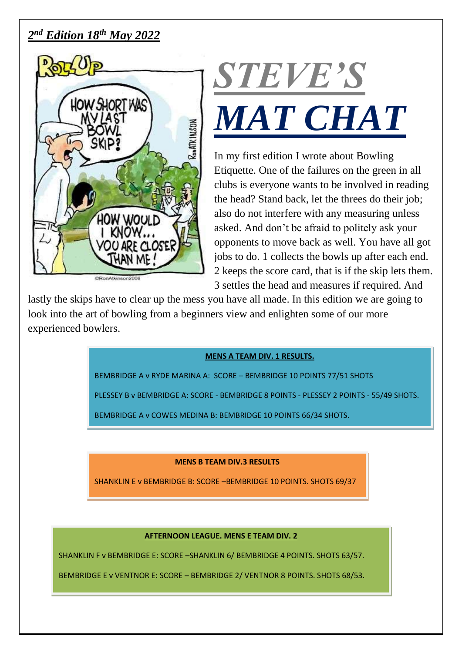# *2 nd Edition 18th May 2022*





In my first edition I wrote about Bowling Etiquette. One of the failures on the green in all clubs is everyone wants to be involved in reading the head? Stand back, let the threes do their job; also do not interfere with any measuring unless asked. And don't be afraid to politely ask your opponents to move back as well. You have all got jobs to do. 1 collects the bowls up after each end. 2 keeps the score card, that is if the skip lets them. 3 settles the head and measures if required. And

lastly the skips have to clear up the mess you have all made. In this edition we are going to look into the art of bowling from a beginners view and enlighten some of our more experienced bowlers.

#### **MENS A TEAM DIV. 1 RESULTS.**

BEMBRIDGE A v RYDE MARINA A: SCORE – BEMBRIDGE 10 POINTS 77/51 SHOTS

PLESSEY B v BEMBRIDGE A: SCORE - BEMBRIDGE 8 POINTS - PLESSEY 2 POINTS - 55/49 SHOTS.

BEMBRIDGE A v COWES MEDINA B: BEMBRIDGE 10 POINTS 66/34 SHOTS.

## **MENS B TEAM DIV.3 RESULTS**

SHANKLIN E v BEMBRIDGE B: SCORE –BEMBRIDGE 10 POINTS. SHOTS 69/37

#### **AFTERNOON LEAGUE. MENS E TEAM DIV. 2**

SHANKLIN F v BEMBRIDGE E: SCORE –SHANKLIN 6/ BEMBRIDGE 4 POINTS. SHOTS 63/57.

BEMBRIDGE E v VENTNOR E: SCORE – BEMBRIDGE 2/ VENTNOR 8 POINTS. SHOTS 68/53.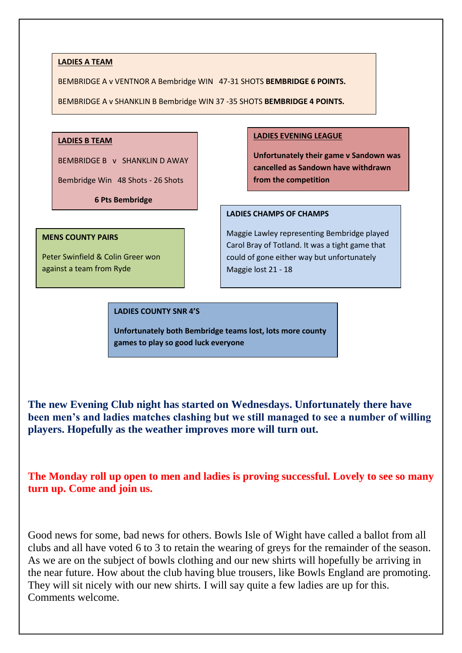#### **LADIES A TEAM**

BEMBRIDGE A v VENTNOR A Bembridge WIN 47-31 SHOTS **BEMBRIDGE 6 POINTS.**

BEMBRIDGE A v SHANKLIN B Bembridge WIN 37 -35 SHOTS **BEMBRIDGE 4 POINTS.**

#### **LADIES B TEAM**

BEMBRIDGE B v SHANKLIN D AWAY

Bembridge Win 48 Shots - 26 Shots

**6 Pts Bembridge**

#### **MENS COUNTY PAIRS**

Peter Swinfield & Colin Greer won against a team from Ryde

#### **LADIES EVENING LEAGUE**

**Unfortunately their game v Sandown was cancelled as Sandown have withdrawn from the competition**

#### **LADIES CHAMPS OF CHAMPS**

Maggie Lawley representing Bembridge played Carol Bray of Totland. It was a tight game that could of gone either way but unfortunately Maggie lost 21 - 18

#### **LADIES COUNTY SNR 4'S**

**Unfortunately both Bembridge teams lost, lots more county games to play so good luck everyone**

**The new Evening Club night has started on Wednesdays. Unfortunately there have been men's and ladies matches clashing but we still managed to see a number of willing players. Hopefully as the weather improves more will turn out.**

**The Monday roll up open to men and ladies is proving successful. Lovely to see so many turn up. Come and join us.** 

Good news for some, bad news for others. Bowls Isle of Wight have called a ballot from all clubs and all have voted 6 to 3 to retain the wearing of greys for the remainder of the season. As we are on the subject of bowls clothing and our new shirts will hopefully be arriving in the near future. How about the club having blue trousers, like Bowls England are promoting. They will sit nicely with our new shirts. I will say quite a few ladies are up for this. Comments welcome.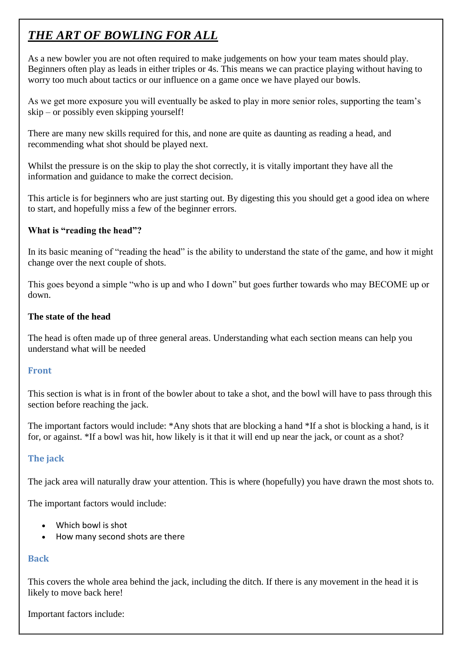# *THE ART OF BOWLING FOR ALL*

As a new bowler you are not often required to make judgements on how your team mates should play. Beginners often play as leads in either triples or 4s. This means we can practice playing without having to worry too much about tactics or our influence on a game once we have played our bowls.

As we get more exposure you will eventually be asked to play in more senior roles, supporting the team's skip – or possibly even skipping yourself!

There are many new skills required for this, and none are quite as daunting as reading a head, and recommending what shot should be played next.

Whilst the pressure is on the skip to play the shot correctly, it is vitally important they have all the information and guidance to make the correct decision.

This article is for beginners who are just starting out. By digesting this you should get a good idea on where to start, and hopefully miss a few of the beginner errors.

# **What is "reading the head"?**

In its basic meaning of "reading the head" is the ability to understand the state of the game, and how it might change over the next couple of shots.

This goes beyond a simple "who is up and who I down" but goes further towards who may BECOME up or down.

# **The state of the head**

The head is often made up of three general areas. Understanding what each section means can help you understand what will be needed

## **Front**

This section is what is in front of the bowler about to take a shot, and the bowl will have to pass through this section before reaching the jack.

The important factors would include: \*Any shots that are blocking a hand \*If a shot is blocking a hand, is it for, or against. \*If a bowl was hit, how likely is it that it will end up near the jack, or count as a shot?

# **The jack**

The jack area will naturally draw your attention. This is where (hopefully) you have drawn the most shots to.

The important factors would include:

- Which bowl is shot
- How many second shots are there

# **Back**

This covers the whole area behind the jack, including the ditch. If there is any movement in the head it is likely to move back here!

Important factors include: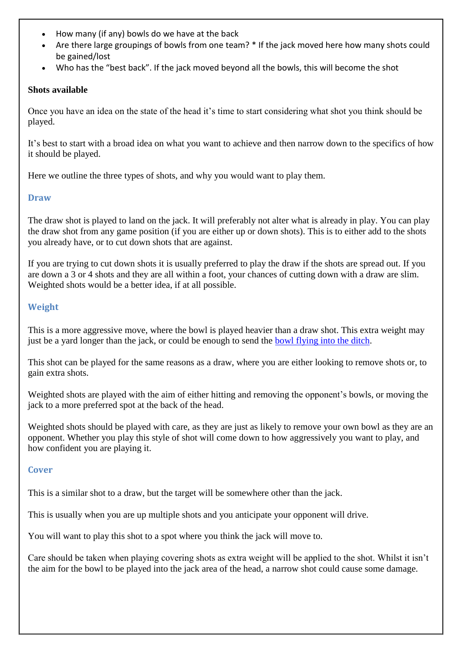- How many (if any) bowls do we have at the back
- Are there large groupings of bowls from one team? \* If the jack moved here how many shots could be gained/lost
- Who has the "best back". If the jack moved beyond all the bowls, this will become the shot

#### **Shots available**

Once you have an idea on the state of the head it's time to start considering what shot you think should be played.

It's best to start with a broad idea on what you want to achieve and then narrow down to the specifics of how it should be played.

Here we outline the three types of shots, and why you would want to play them.

#### **Draw**

The draw shot is played to land on the jack. It will preferably not alter what is already in play. You can play the draw shot from any game position (if you are either up or down shots). This is to either add to the shots you already have, or to cut down shots that are against.

If you are trying to cut down shots it is usually preferred to play the draw if the shots are spread out. If you are down a 3 or 4 shots and they are all within a foot, your chances of cutting down with a draw are slim. Weighted shots would be a better idea, if at all possible.

## **Weight**

This is a more aggressive move, where the bowl is played heavier than a draw shot. This extra weight may just be a yard longer than the jack, or could be enough to send the [bowl flying into the ditch.](https://www.jackhighbowls.com/help/lawn-bowls-rules-when-the-jack-is-in-the-ditch/)

This shot can be played for the same reasons as a draw, where you are either looking to remove shots or, to gain extra shots.

Weighted shots are played with the aim of either hitting and removing the opponent's bowls, or moving the jack to a more preferred spot at the back of the head.

Weighted shots should be played with care, as they are just as likely to remove your own bowl as they are an opponent. Whether you play this style of shot will come down to how aggressively you want to play, and how confident you are playing it.

## **Cover**

This is a similar shot to a draw, but the target will be somewhere other than the jack.

This is usually when you are up multiple shots and you anticipate your opponent will drive.

You will want to play this shot to a spot where you think the jack will move to.

Care should be taken when playing covering shots as extra weight will be applied to the shot. Whilst it isn't the aim for the bowl to be played into the jack area of the head, a narrow shot could cause some damage.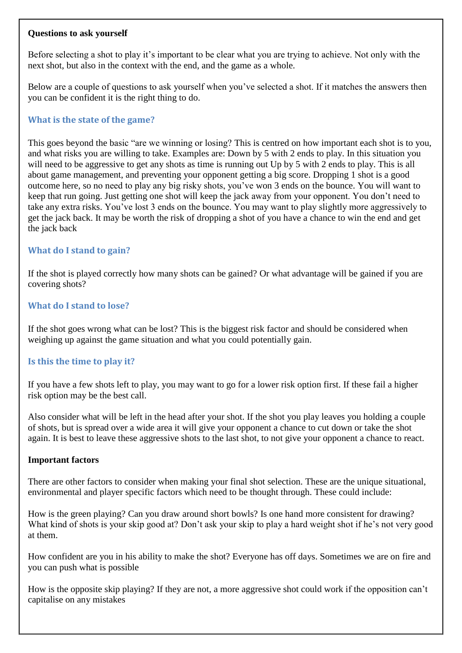#### **Questions to ask yourself**

Before selecting a shot to play it's important to be clear what you are trying to achieve. Not only with the next shot, but also in the context with the end, and the game as a whole.

Below are a couple of questions to ask yourself when you've selected a shot. If it matches the answers then you can be confident it is the right thing to do.

## **What is the state of the game?**

This goes beyond the basic "are we winning or losing? This is centred on how important each shot is to you, and what risks you are willing to take. Examples are: Down by 5 with 2 ends to play. In this situation you will need to be aggressive to get any shots as time is running out Up by 5 with 2 ends to play. This is all about game management, and preventing your opponent getting a big score. Dropping 1 shot is a good outcome here, so no need to play any big risky shots, you've won 3 ends on the bounce. You will want to keep that run going. Just getting one shot will keep the jack away from your opponent. You don't need to take any extra risks. You've lost 3 ends on the bounce. You may want to play slightly more aggressively to get the jack back. It may be worth the risk of dropping a shot of you have a chance to win the end and get the jack back

# **What do I stand to gain?**

If the shot is played correctly how many shots can be gained? Or what advantage will be gained if you are covering shots?

## **What do I stand to lose?**

If the shot goes wrong what can be lost? This is the biggest risk factor and should be considered when weighing up against the game situation and what you could potentially gain.

## **Is this the time to play it?**

If you have a few shots left to play, you may want to go for a lower risk option first. If these fail a higher risk option may be the best call.

Also consider what will be left in the head after your shot. If the shot you play leaves you holding a couple of shots, but is spread over a wide area it will give your opponent a chance to cut down or take the shot again. It is best to leave these aggressive shots to the last shot, to not give your opponent a chance to react.

## **Important factors**

There are other factors to consider when making your final shot selection. These are the unique situational, environmental and player specific factors which need to be thought through. These could include:

How is the green playing? Can you draw around short bowls? Is one hand more consistent for drawing? What kind of shots is your skip good at? Don't ask your skip to play a hard weight shot if he's not very good at them.

How confident are you in his ability to make the shot? Everyone has off days. Sometimes we are on fire and you can push what is possible

How is the opposite skip playing? If they are not, a more aggressive shot could work if the opposition can't capitalise on any mistakes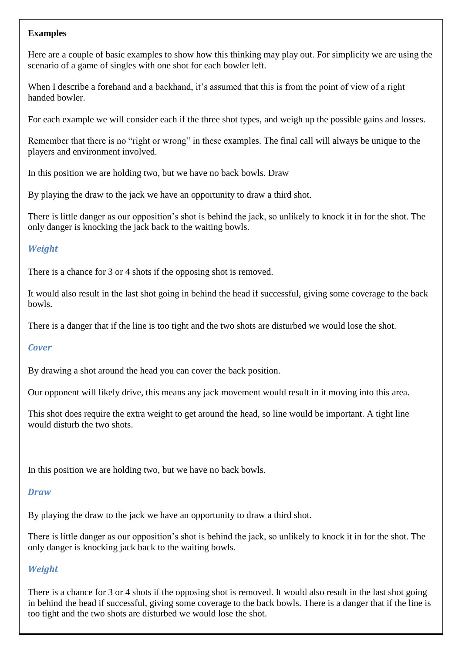## **Examples**

Here are a couple of basic examples to show how this thinking may play out. For simplicity we are using the scenario of a game of singles with one shot for each bowler left.

When I describe a forehand and a backhand, it's assumed that this is from the point of view of a right handed bowler.

For each example we will consider each if the three shot types, and weigh up the possible gains and losses.

Remember that there is no "right or wrong" in these examples. The final call will always be unique to the players and environment involved.

In this position we are holding two, but we have no back bowls. Draw

By playing the draw to the jack we have an opportunity to draw a third shot.

There is little danger as our opposition's shot is behind the jack, so unlikely to knock it in for the shot. The only danger is knocking the jack back to the waiting bowls.

# *Weight*

There is a chance for 3 or 4 shots if the opposing shot is removed.

It would also result in the last shot going in behind the head if successful, giving some coverage to the back bowls.

There is a danger that if the line is too tight and the two shots are disturbed we would lose the shot.

## *Cover*

By drawing a shot around the head you can cover the back position.

Our opponent will likely drive, this means any jack movement would result in it moving into this area.

This shot does require the extra weight to get around the head, so line would be important. A tight line would disturb the two shots.

In this position we are holding two, but we have no back bowls.

## *Draw*

By playing the draw to the jack we have an opportunity to draw a third shot.

There is little danger as our opposition's shot is behind the jack, so unlikely to knock it in for the shot. The only danger is knocking jack back to the waiting bowls.

# *Weight*

There is a chance for 3 or 4 shots if the opposing shot is removed. It would also result in the last shot going in behind the head if successful, giving some coverage to the back bowls. There is a danger that if the line is too tight and the two shots are disturbed we would lose the shot.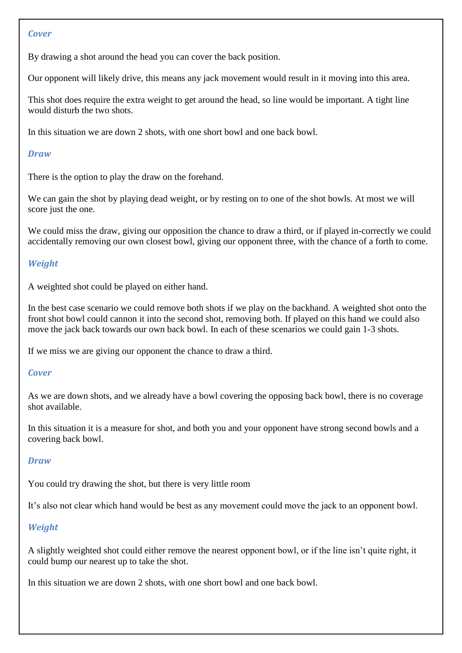#### *Cover*

By drawing a shot around the head you can cover the back position.

Our opponent will likely drive, this means any jack movement would result in it moving into this area.

This shot does require the extra weight to get around the head, so line would be important. A tight line would disturb the two shots.

In this situation we are down 2 shots, with one short bowl and one back bowl.

#### *Draw*

There is the option to play the draw on the forehand.

We can gain the shot by playing dead weight, or by resting on to one of the shot bowls. At most we will score just the one.

We could miss the draw, giving our opposition the chance to draw a third, or if played in-correctly we could accidentally removing our own closest bowl, giving our opponent three, with the chance of a forth to come.

## *Weight*

A weighted shot could be played on either hand.

In the best case scenario we could remove both shots if we play on the backhand. A weighted shot onto the front shot bowl could cannon it into the second shot, removing both. If played on this hand we could also move the jack back towards our own back bowl. In each of these scenarios we could gain 1-3 shots.

If we miss we are giving our opponent the chance to draw a third.

#### *Cover*

As we are down shots, and we already have a bowl covering the opposing back bowl, there is no coverage shot available.

In this situation it is a measure for shot, and both you and your opponent have strong second bowls and a covering back bowl.

## *Draw*

You could try drawing the shot, but there is very little room

It's also not clear which hand would be best as any movement could move the jack to an opponent bowl.

## *Weight*

A slightly weighted shot could either remove the nearest opponent bowl, or if the line isn't quite right, it could bump our nearest up to take the shot.

In this situation we are down 2 shots, with one short bowl and one back bowl.